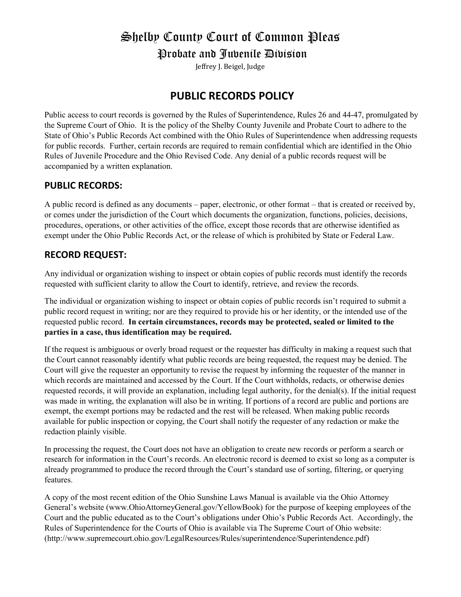# Shelby County Court of Common Pleas Probate and Juvenile Division

Jeffrey J. Beigel, Judge

# **PUBLIC RECORDS POLICY**

Public access to court records is governed by the Rules of Superintendence, Rules 26 and 44-47, promulgated by the Supreme Court of Ohio. It is the policy of the Shelby County Juvenile and Probate Court to adhere to the State of Ohio's Public Records Act combined with the Ohio Rules of Superintendence when addressing requests for public records. Further, certain records are required to remain confidential which are identified in the Ohio Rules of Juvenile Procedure and the Ohio Revised Code. Any denial of a public records request will be accompanied by a written explanation.

# **PUBLIC RECORDS:**

A public record is defined as any documents – paper, electronic, or other format – that is created or received by, or comes under the jurisdiction of the Court which documents the organization, functions, policies, decisions, procedures, operations, or other activities of the office, except those records that are otherwise identified as exempt under the Ohio Public Records Act, or the release of which is prohibited by State or Federal Law.

# **RECORD REQUEST:**

Any individual or organization wishing to inspect or obtain copies of public records must identify the records requested with sufficient clarity to allow the Court to identify, retrieve, and review the records.

The individual or organization wishing to inspect or obtain copies of public records isn't required to submit a public record request in writing; nor are they required to provide his or her identity, or the intended use of the requested public record. **In certain circumstances, records may be protected, sealed or limited to the parties in a case, thus identification may be required.**

If the request is ambiguous or overly broad request or the requester has difficulty in making a request such that the Court cannot reasonably identify what public records are being requested, the request may be denied. The Court will give the requester an opportunity to revise the request by informing the requester of the manner in which records are maintained and accessed by the Court. If the Court withholds, redacts, or otherwise denies requested records, it will provide an explanation, including legal authority, for the denial(s). If the initial request was made in writing, the explanation will also be in writing. If portions of a record are public and portions are exempt, the exempt portions may be redacted and the rest will be released. When making public records available for public inspection or copying, the Court shall notify the requester of any redaction or make the redaction plainly visible.

In processing the request, the Court does not have an obligation to create new records or perform a search or research for information in the Court's records. An electronic record is deemed to exist so long as a computer is already programmed to produce the record through the Court's standard use of sorting, filtering, or querying features.

A copy of the most recent edition of the Ohio Sunshine Laws Manual is available via the Ohio Attorney General's website (www.OhioAttorneyGeneral.gov/YellowBook) for the purpose of keeping employees of the Court and the public educated as to the Court's obligations under Ohio's Public Records Act. Accordingly, the Rules of Superintendence for the Courts of Ohio is available via The Supreme Court of Ohio website: (http://www.supremecourt.ohio.gov/LegalResources/Rules/superintendence/Superintendence.pdf)